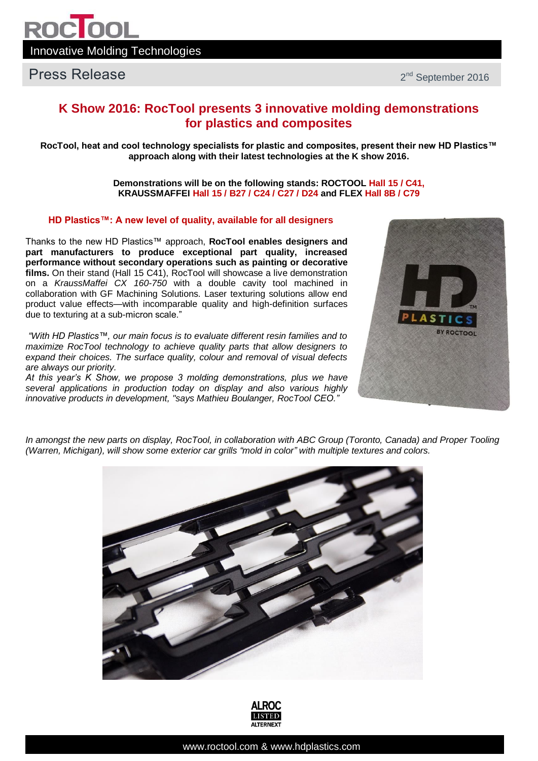

## **K Show 2016: RocTool presents 3 innovative molding demonstrations for plastics and composites**

**RocTool, heat and cool technology specialists for plastic and composites, present their new HD Plastics™ approach along with their latest technologies at the K show 2016.**

> **Demonstrations will be on the following stands: ROCTOOL Hall 15 / C41, KRAUSSMAFFEI Hall 15 / B27 / C24 / C27 / D24 and FLEX Hall 8B / C79**

#### **HD Plastics™: A new level of quality, available for all designers**

Thanks to the new HD Plastics™ approach, **RocTool enables designers and part manufacturers to produce exceptional part quality, increased performance without secondary operations such as painting or decorative films.** On their stand (Hall 15 C41), RocTool will showcase a live demonstration on a *KraussMaffei CX 160-750* with a double cavity tool machined in collaboration with GF Machining Solutions. Laser texturing solutions allow end product value effects—with incomparable quality and high-definition surfaces due to texturing at a sub-micron scale."

*"With HD Plastics™, our main focus is to evaluate different resin families and to maximize RocTool technology to achieve quality parts that allow designers to expand their choices. The surface quality, colour and removal of visual defects are always our priority.*

*At this year's K Show, we propose 3 molding demonstrations, plus we have several applications in production today on display and also various highly innovative products in development, "says Mathieu Boulanger, RocTool CEO."*



*In amongst the new parts on display, RocTool, in collaboration with ABC Group (Toronto, Canada) and Proper Tooling (Warren, Michigan), will show some exterior car grills "mold in color" with multiple textures and colors.*